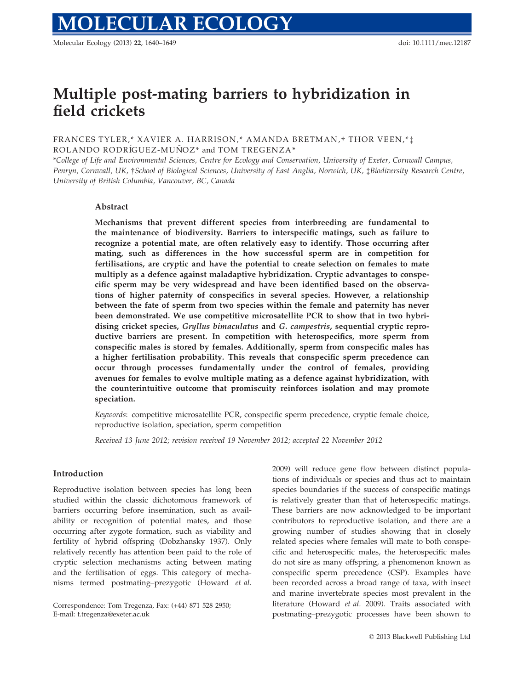# Multiple post-mating barriers to hybridization in field crickets

# FRANCES TYLER,\* XAVIER A. HARRISON,\* AMANDA BRETMAN,† THOR VEEN,\*‡  $ROLANDO RODRÍGUEZ-MUNOZ*$  and TOM TREGENZA\*

\*College of Life and Environmental Sciences, Centre for Ecology and Conservation, University of Exeter, Cornwall Campus, Penryn, Cornwall, UK, †School of Biological Sciences, University of East Anglia, Norwich, UK, ‡Biodiversity Research Centre, University of British Columbia, Vancouver, BC, Canada

# Abstract

Mechanisms that prevent different species from interbreeding are fundamental to the maintenance of biodiversity. Barriers to interspecific matings, such as failure to recognize a potential mate, are often relatively easy to identify. Those occurring after mating, such as differences in the how successful sperm are in competition for fertilisations, are cryptic and have the potential to create selection on females to mate multiply as a defence against maladaptive hybridization. Cryptic advantages to conspecific sperm may be very widespread and have been identified based on the observations of higher paternity of conspecifics in several species. However, a relationship between the fate of sperm from two species within the female and paternity has never been demonstrated. We use competitive microsatellite PCR to show that in two hybridising cricket species, Gryllus bimaculatus and G. campestris, sequential cryptic reproductive barriers are present. In competition with heterospecifics, more sperm from conspecific males is stored by females. Additionally, sperm from conspecific males has a higher fertilisation probability. This reveals that conspecific sperm precedence can occur through processes fundamentally under the control of females, providing avenues for females to evolve multiple mating as a defence against hybridization, with the counterintuitive outcome that promiscuity reinforces isolation and may promote speciation.

Keywords: competitive microsatellite PCR, conspecific sperm precedence, cryptic female choice, reproductive isolation, speciation, sperm competition

Received 13 June 2012; revision received 19 November 2012; accepted 22 November 2012

## Introduction

Reproductive isolation between species has long been studied within the classic dichotomous framework of barriers occurring before insemination, such as availability or recognition of potential mates, and those occurring after zygote formation, such as viability and fertility of hybrid offspring (Dobzhansky 1937). Only relatively recently has attention been paid to the role of cryptic selection mechanisms acting between mating and the fertilisation of eggs. This category of mechanisms termed postmating–prezygotic (Howard et al.

Correspondence: Tom Tregenza, Fax: (+44) 871 528 2950; E-mail: t.tregenza@exeter.ac.uk

2009) will reduce gene flow between distinct populations of individuals or species and thus act to maintain species boundaries if the success of conspecific matings is relatively greater than that of heterospecific matings. These barriers are now acknowledged to be important contributors to reproductive isolation, and there are a growing number of studies showing that in closely related species where females will mate to both conspecific and heterospecific males, the heterospecific males do not sire as many offspring, a phenomenon known as conspecific sperm precedence (CSP). Examples have been recorded across a broad range of taxa, with insect and marine invertebrate species most prevalent in the literature (Howard et al. 2009). Traits associated with postmating–prezygotic processes have been shown to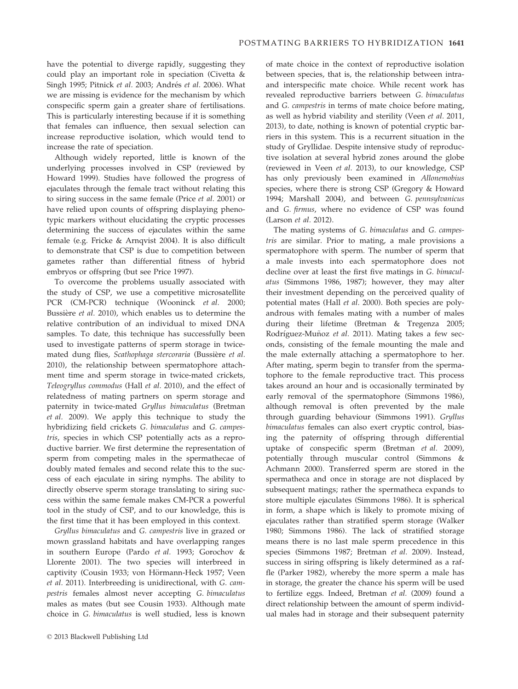have the potential to diverge rapidly, suggesting they could play an important role in speciation (Civetta & Singh 1995; Pitnick et al. 2003; Andrés et al. 2006). What we are missing is evidence for the mechanism by which conspecific sperm gain a greater share of fertilisations. This is particularly interesting because if it is something that females can influence, then sexual selection can increase reproductive isolation, which would tend to increase the rate of speciation.

Although widely reported, little is known of the underlying processes involved in CSP (reviewed by Howard 1999). Studies have followed the progress of ejaculates through the female tract without relating this to siring success in the same female (Price et al. 2001) or have relied upon counts of offspring displaying phenotypic markers without elucidating the cryptic processes determining the success of ejaculates within the same female (e.g. Fricke & Arnqvist 2004). It is also difficult to demonstrate that CSP is due to competition between gametes rather than differential fitness of hybrid embryos or offspring (but see Price 1997).

To overcome the problems usually associated with the study of CSP, we use a competitive microsatellite PCR (CM-PCR) technique (Wooninck et al. 2000; Bussiere et al. 2010), which enables us to determine the relative contribution of an individual to mixed DNA samples. To date, this technique has successfully been used to investigate patterns of sperm storage in twicemated dung flies, Scathophaga stercoraria (Bussière et al. 2010), the relationship between spermatophore attachment time and sperm storage in twice-mated crickets, Teleogryllus commodus (Hall et al. 2010), and the effect of relatedness of mating partners on sperm storage and paternity in twice-mated Gryllus bimaculatus (Bretman et al. 2009). We apply this technique to study the hybridizing field crickets G. bimaculatus and G. campestris, species in which CSP potentially acts as a reproductive barrier. We first determine the representation of sperm from competing males in the spermathecae of doubly mated females and second relate this to the success of each ejaculate in siring nymphs. The ability to directly observe sperm storage translating to siring success within the same female makes CM-PCR a powerful tool in the study of CSP, and to our knowledge, this is the first time that it has been employed in this context.

Gryllus bimaculatus and G. campestris live in grazed or mown grassland habitats and have overlapping ranges in southern Europe (Pardo et al. 1993; Gorochov & Llorente 2001). The two species will interbreed in captivity (Cousin 1933; von Hörmann-Heck 1957; Veen et al. 2011). Interbreeding is unidirectional, with G. campestris females almost never accepting G. bimaculatus males as mates (but see Cousin 1933). Although mate choice in G. bimaculatus is well studied, less is known of mate choice in the context of reproductive isolation between species, that is, the relationship between intraand interspecific mate choice. While recent work has revealed reproductive barriers between G. bimaculatus and G. campestris in terms of mate choice before mating, as well as hybrid viability and sterility (Veen et al. 2011, 2013), to date, nothing is known of potential cryptic barriers in this system. This is a recurrent situation in the study of Gryllidae. Despite intensive study of reproductive isolation at several hybrid zones around the globe (reviewed in Veen et al. 2013), to our knowledge, CSP has only previously been examined in Allonemobius species, where there is strong CSP (Gregory & Howard 1994; Marshall 2004), and between G. pennsylvanicus and G. firmus, where no evidence of CSP was found (Larson et al. 2012).

The mating systems of G. bimaculatus and G. campestris are similar. Prior to mating, a male provisions a spermatophore with sperm. The number of sperm that a male invests into each spermatophore does not decline over at least the first five matings in G. bimaculatus (Simmons 1986, 1987); however, they may alter their investment depending on the perceived quality of potential mates (Hall et al. 2000). Both species are polyandrous with females mating with a number of males during their lifetime (Bretman & Tregenza 2005; Rodríguez-Muñoz et al. 2011). Mating takes a few seconds, consisting of the female mounting the male and the male externally attaching a spermatophore to her. After mating, sperm begin to transfer from the spermatophore to the female reproductive tract. This process takes around an hour and is occasionally terminated by early removal of the spermatophore (Simmons 1986), although removal is often prevented by the male through guarding behaviour (Simmons 1991). Gryllus bimaculatus females can also exert cryptic control, biasing the paternity of offspring through differential uptake of conspecific sperm (Bretman et al. 2009), potentially through muscular control (Simmons & Achmann 2000). Transferred sperm are stored in the spermatheca and once in storage are not displaced by subsequent matings; rather the spermatheca expands to store multiple ejaculates (Simmons 1986). It is spherical in form, a shape which is likely to promote mixing of ejaculates rather than stratified sperm storage (Walker 1980; Simmons 1986). The lack of stratified storage means there is no last male sperm precedence in this species (Simmons 1987; Bretman et al. 2009). Instead, success in siring offspring is likely determined as a raffle (Parker 1982), whereby the more sperm a male has in storage, the greater the chance his sperm will be used to fertilize eggs. Indeed, Bretman et al. (2009) found a direct relationship between the amount of sperm individual males had in storage and their subsequent paternity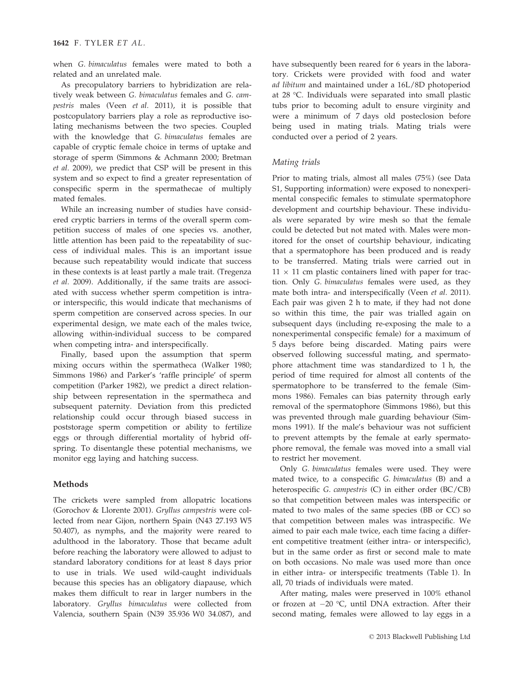when G. bimaculatus females were mated to both a related and an unrelated male.

As precopulatory barriers to hybridization are relatively weak between G. bimaculatus females and G. campestris males (Veen et al. 2011), it is possible that postcopulatory barriers play a role as reproductive isolating mechanisms between the two species. Coupled with the knowledge that G. bimaculatus females are capable of cryptic female choice in terms of uptake and storage of sperm (Simmons & Achmann 2000; Bretman et al. 2009), we predict that CSP will be present in this system and so expect to find a greater representation of conspecific sperm in the spermathecae of multiply mated females.

While an increasing number of studies have considered cryptic barriers in terms of the overall sperm competition success of males of one species vs. another, little attention has been paid to the repeatability of success of individual males. This is an important issue because such repeatability would indicate that success in these contexts is at least partly a male trait. (Tregenza et al. 2009). Additionally, if the same traits are associated with success whether sperm competition is intraor interspecific, this would indicate that mechanisms of sperm competition are conserved across species. In our experimental design, we mate each of the males twice, allowing within-individual success to be compared when competing intra- and interspecifically.

Finally, based upon the assumption that sperm mixing occurs within the spermatheca (Walker 1980; Simmons 1986) and Parker's 'raffle principle' of sperm competition (Parker 1982), we predict a direct relationship between representation in the spermatheca and subsequent paternity. Deviation from this predicted relationship could occur through biased success in poststorage sperm competition or ability to fertilize eggs or through differential mortality of hybrid offspring. To disentangle these potential mechanisms, we monitor egg laying and hatching success.

# Methods

The crickets were sampled from allopatric locations (Gorochov & Llorente 2001). Gryllus campestris were collected from near Gijon, northern Spain (N43 27.193 W5 50.407), as nymphs, and the majority were reared to adulthood in the laboratory. Those that became adult before reaching the laboratory were allowed to adjust to standard laboratory conditions for at least 8 days prior to use in trials. We used wild-caught individuals because this species has an obligatory diapause, which makes them difficult to rear in larger numbers in the laboratory. Gryllus bimaculatus were collected from Valencia, southern Spain (N39 35.936 W0 34.087), and

have subsequently been reared for 6 years in the laboratory. Crickets were provided with food and water ad libitum and maintained under a 16L/8D photoperiod at 28 °C. Individuals were separated into small plastic tubs prior to becoming adult to ensure virginity and were a minimum of 7 days old posteclosion before being used in mating trials. Mating trials were conducted over a period of 2 years.

# Mating trials

Prior to mating trials, almost all males (75%) (see Data S1, Supporting information) were exposed to nonexperimental conspecific females to stimulate spermatophore development and courtship behaviour. These individuals were separated by wire mesh so that the female could be detected but not mated with. Males were monitored for the onset of courtship behaviour, indicating that a spermatophore has been produced and is ready to be transferred. Mating trials were carried out in  $11 \times 11$  cm plastic containers lined with paper for traction. Only G. bimaculatus females were used, as they mate both intra- and interspecifically (Veen et al. 2011). Each pair was given 2 h to mate, if they had not done so within this time, the pair was trialled again on subsequent days (including re-exposing the male to a nonexperimental conspecific female) for a maximum of 5 days before being discarded. Mating pairs were observed following successful mating, and spermatophore attachment time was standardized to 1 h, the period of time required for almost all contents of the spermatophore to be transferred to the female (Simmons 1986). Females can bias paternity through early removal of the spermatophore (Simmons 1986), but this was prevented through male guarding behaviour (Simmons 1991). If the male's behaviour was not sufficient to prevent attempts by the female at early spermatophore removal, the female was moved into a small vial to restrict her movement.

Only G. bimaculatus females were used. They were mated twice, to a conspecific G. bimaculatus (B) and a heterospecific G. campestris (C) in either order (BC/CB) so that competition between males was interspecific or mated to two males of the same species (BB or CC) so that competition between males was intraspecific. We aimed to pair each male twice, each time facing a different competitive treatment (either intra- or interspecific), but in the same order as first or second male to mate on both occasions. No male was used more than once in either intra- or interspecific treatments (Table 1). In all, 70 triads of individuals were mated.

After mating, males were preserved in 100% ethanol or frozen at  $-20$  °C, until DNA extraction. After their second mating, females were allowed to lay eggs in a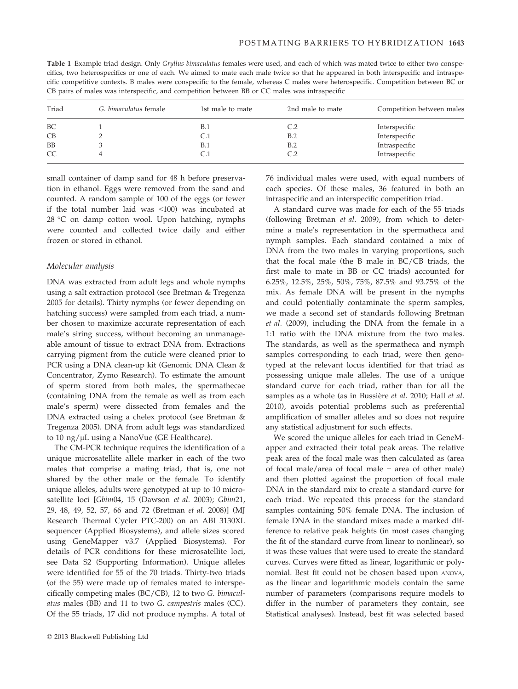Table 1 Example triad design. Only Gryllus bimaculatus females were used, and each of which was mated twice to either two conspecifics, two heterospecifics or one of each. We aimed to mate each male twice so that he appeared in both interspecific and intraspecific competitive contexts. B males were conspecific to the female, whereas C males were heterospecific. Competition between BC or CB pairs of males was interspecific, and competition between BB or CC males was intraspecific

| Triad     | G. bimaculatus female | 1st male to mate | 2nd male to mate | Competition between males |
|-----------|-----------------------|------------------|------------------|---------------------------|
| BC        |                       | B.1              | C.2              | Interspecific             |
| CB        |                       | С.1              | B.2              | Interspecific             |
| <b>BB</b> |                       | B.1              | B.2              | Intraspecific             |
| <b>CC</b> |                       | С.1              | C.2              | Intraspecific             |

small container of damp sand for 48 h before preservation in ethanol. Eggs were removed from the sand and counted. A random sample of 100 of the eggs (or fewer if the total number laid was <100) was incubated at 28 °C on damp cotton wool. Upon hatching, nymphs were counted and collected twice daily and either frozen or stored in ethanol.

# Molecular analysis

DNA was extracted from adult legs and whole nymphs using a salt extraction protocol (see Bretman & Tregenza 2005 for details). Thirty nymphs (or fewer depending on hatching success) were sampled from each triad, a number chosen to maximize accurate representation of each male's siring success, without becoming an unmanageable amount of tissue to extract DNA from. Extractions carrying pigment from the cuticle were cleaned prior to PCR using a DNA clean-up kit (Genomic DNA Clean & Concentrator, Zymo Research). To estimate the amount of sperm stored from both males, the spermathecae (containing DNA from the female as well as from each male's sperm) were dissected from females and the DNA extracted using a chelex protocol (see Bretman & Tregenza 2005). DNA from adult legs was standardized to 10 ng/μL using a NanoVue (GE Healthcare).

The CM-PCR technique requires the identification of a unique microsatellite allele marker in each of the two males that comprise a mating triad, that is, one not shared by the other male or the female. To identify unique alleles, adults were genotyped at up to 10 microsatellite loci [Gbim04, 15 (Dawson et al. 2003); Gbim21, 29, 48, 49, 52, 57, 66 and 72 (Bretman et al. 2008)] (MJ Research Thermal Cycler PTC-200) on an ABI 3130XL sequencer (Applied Biosystems), and allele sizes scored using GeneMapper v3.7 (Applied Biosystems). For details of PCR conditions for these microsatellite loci, see Data S2 (Supporting Information). Unique alleles were identified for 55 of the 70 triads. Thirty-two triads (of the 55) were made up of females mated to interspecifically competing males (BC/CB), 12 to two G. bimaculatus males (BB) and 11 to two G. campestris males (CC). Of the 55 triads, 17 did not produce nymphs. A total of

76 individual males were used, with equal numbers of each species. Of these males, 36 featured in both an intraspecific and an interspecific competition triad.

A standard curve was made for each of the 55 triads (following Bretman et al. 2009), from which to determine a male's representation in the spermatheca and nymph samples. Each standard contained a mix of DNA from the two males in varying proportions, such that the focal male (the B male in BC/CB triads, the first male to mate in BB or CC triads) accounted for 6.25%, 12.5%, 25%, 50%, 75%, 87.5% and 93.75% of the mix. As female DNA will be present in the nymphs and could potentially contaminate the sperm samples, we made a second set of standards following Bretman et al. (2009), including the DNA from the female in a 1:1 ratio with the DNA mixture from the two males. The standards, as well as the spermatheca and nymph samples corresponding to each triad, were then genotyped at the relevant locus identified for that triad as possessing unique male alleles. The use of a unique standard curve for each triad, rather than for all the samples as a whole (as in Bussière et al. 2010; Hall et al. 2010), avoids potential problems such as preferential amplification of smaller alleles and so does not require any statistical adjustment for such effects.

We scored the unique alleles for each triad in GeneMapper and extracted their total peak areas. The relative peak area of the focal male was then calculated as (area of focal male/area of focal male + area of other male) and then plotted against the proportion of focal male DNA in the standard mix to create a standard curve for each triad. We repeated this process for the standard samples containing 50% female DNA. The inclusion of female DNA in the standard mixes made a marked difference to relative peak heights (in most cases changing the fit of the standard curve from linear to nonlinear), so it was these values that were used to create the standard curves. Curves were fitted as linear, logarithmic or polynomial. Best fit could not be chosen based upon ANOVA, as the linear and logarithmic models contain the same number of parameters (comparisons require models to differ in the number of parameters they contain, see Statistical analyses). Instead, best fit was selected based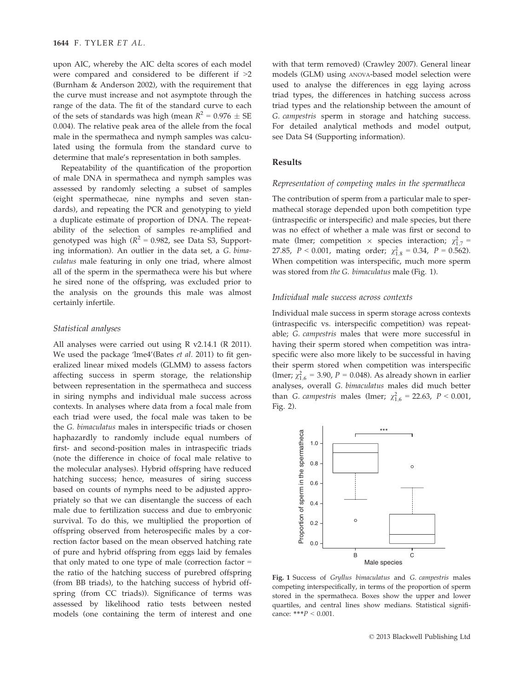upon AIC, whereby the AIC delta scores of each model were compared and considered to be different if >2 (Burnham & Anderson 2002), with the requirement that the curve must increase and not asymptote through the range of the data. The fit of the standard curve to each of the sets of standards was high (mean  $R^2 = 0.976 \pm SE$ 0.004). The relative peak area of the allele from the focal male in the spermatheca and nymph samples was calculated using the formula from the standard curve to determine that male's representation in both samples.

Repeatability of the quantification of the proportion of male DNA in spermatheca and nymph samples was assessed by randomly selecting a subset of samples (eight spermathecae, nine nymphs and seven standards), and repeating the PCR and genotyping to yield a duplicate estimate of proportion of DNA. The repeatability of the selection of samples re-amplified and genotyped was high ( $R^2$  = 0.982, see Data S3, Supporting information). An outlier in the data set, a G. bimaculatus male featuring in only one triad, where almost all of the sperm in the spermatheca were his but where he sired none of the offspring, was excluded prior to the analysis on the grounds this male was almost certainly infertile.

#### Statistical analyses

All analyses were carried out using R v2.14.1 (R 2011). We used the package 'lme4'(Bates et al. 2011) to fit generalized linear mixed models (GLMM) to assess factors affecting success in sperm storage, the relationship between representation in the spermatheca and success in siring nymphs and individual male success across contexts. In analyses where data from a focal male from each triad were used, the focal male was taken to be the G. bimaculatus males in interspecific triads or chosen haphazardly to randomly include equal numbers of first- and second-position males in intraspecific triads (note the difference in choice of focal male relative to the molecular analyses). Hybrid offspring have reduced hatching success; hence, measures of siring success based on counts of nymphs need to be adjusted appropriately so that we can disentangle the success of each male due to fertilization success and due to embryonic survival. To do this, we multiplied the proportion of offspring observed from heterospecific males by a correction factor based on the mean observed hatching rate of pure and hybrid offspring from eggs laid by females that only mated to one type of male (correction factor = the ratio of the hatching success of purebred offspring (from BB triads), to the hatching success of hybrid offspring (from CC triads)). Significance of terms was assessed by likelihood ratio tests between nested models (one containing the term of interest and one with that term removed) (Crawley 2007). General linear models (GLM) using ANOVA-based model selection were used to analyse the differences in egg laying across triad types, the differences in hatching success across triad types and the relationship between the amount of G. campestris sperm in storage and hatching success. For detailed analytical methods and model output, see Data S4 (Supporting information).

## Results

#### Representation of competing males in the spermatheca

The contribution of sperm from a particular male to spermathecal storage depended upon both competition type (intraspecific or interspecific) and male species, but there was no effect of whether a male was first or second to mate (lmer; competition  $\times$  species interaction;  $\chi^2_{1,7}$  = 27.85,  $P < 0.001$ , mating order;  $\chi^2_{1,8} = 0.34$ ,  $P = 0.562$ ). When competition was interspecific, much more sperm was stored from the G. bimaculatus male (Fig. 1).

# Individual male success across contexts

Individual male success in sperm storage across contexts (intraspecific vs. interspecific competition) was repeatable; G. campestris males that were more successful in having their sperm stored when competition was intraspecific were also more likely to be successful in having their sperm stored when competition was interspecific (lmer;  $\chi^{2}_{1,6} = 3.90$ ,  $P = 0.048$ ). As already shown in earlier analyses, overall G. bimaculatus males did much better than *G. campestris* males (lmer;  $\chi^{2}_{1,6} = 22.63$ ,  $P < 0.001$ , Fig. 2).



Fig. 1 Success of Gryllus bimaculatus and G. campestris males competing interspecifically, in terms of the proportion of sperm stored in the spermatheca. Boxes show the upper and lower quartiles, and central lines show medians. Statistical significance: \*\*\*P < 0.001.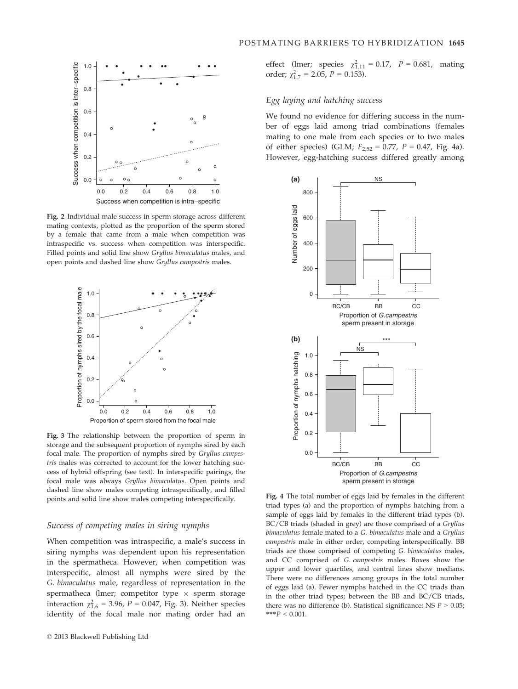

Fig. 2 Individual male success in sperm storage across different mating contexts, plotted as the proportion of the sperm stored by a female that came from a male when competition was intraspecific vs. success when competition was interspecific. Filled points and solid line show Gryllus bimaculatus males, and open points and dashed line show Gryllus campestris males.



Fig. 3 The relationship between the proportion of sperm in storage and the subsequent proportion of nymphs sired by each focal male. The proportion of nymphs sired by Gryllus campestris males was corrected to account for the lower hatching success of hybrid offspring (see text). In interspecific pairings, the focal male was always Gryllus bimaculatus. Open points and dashed line show males competing intraspecifically, and filled points and solid line show males competing interspecifically.

# Success of competing males in siring nymphs

When competition was intraspecific, a male's success in siring nymphs was dependent upon his representation in the spermatheca. However, when competition was interspecific, almost all nymphs were sired by the G. bimaculatus male, regardless of representation in the spermatheca (lmer; competitor type  $\times$  sperm storage interaction  $\chi^2_{1,6} = 3.96$ ,  $P = 0.047$ , Fig. 3). Neither species identity of the focal male nor mating order had an

effect (lmer; species  $\chi_{1,11}^2 = 0.17$ ,  $P = 0.681$ , mating order;  $\chi_{1,7}^2$  = 2.05, *P* = 0.153).

# Egg laying and hatching success

We found no evidence for differing success in the number of eggs laid among triad combinations (females mating to one male from each species or to two males of either species) (GLM;  $F_{2,52} = 0.77$ ,  $P = 0.47$ , Fig. 4a). However, egg-hatching success differed greatly among



Fig. 4 The total number of eggs laid by females in the different triad types (a) and the proportion of nymphs hatching from a sample of eggs laid by females in the different triad types (b). BC/CB triads (shaded in grey) are those comprised of a Gryllus bimaculatus female mated to a G. bimaculatus male and a Gryllus campestris male in either order, competing interspecifically. BB triads are those comprised of competing G. bimaculatus males, and CC comprised of G. campestris males. Boxes show the upper and lower quartiles, and central lines show medians. There were no differences among groups in the total number of eggs laid (a). Fewer nymphs hatched in the CC triads than in the other triad types; between the BB and BC/CB triads, there was no difference (b). Statistical significance: NS  $P > 0.05$ ;  $***P < 0.001$ .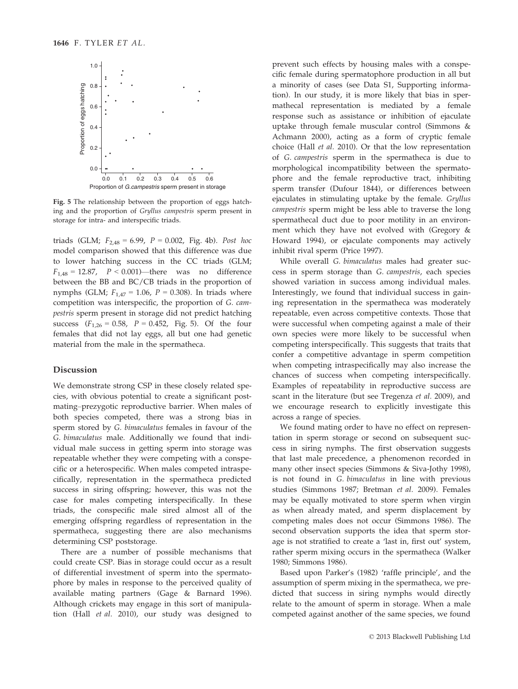

Fig. 5 The relationship between the proportion of eggs hatching and the proportion of Gryllus campestris sperm present in storage for intra- and interspecific triads.

triads (GLM;  $F_{2,48} = 6.99$ ,  $P = 0.002$ , Fig. 4b). Post hoc model comparison showed that this difference was due to lower hatching success in the CC triads (GLM;  $F_{1,48} = 12.87$ ,  $P < 0.001$ )—there was no difference between the BB and BC/CB triads in the proportion of nymphs (GLM;  $F_{1,47} = 1.06$ ,  $P = 0.308$ ). In triads where competition was interspecific, the proportion of G. campestris sperm present in storage did not predict hatching success  $(F_{1,26} = 0.58, P = 0.452, Fig. 5)$ . Of the four females that did not lay eggs, all but one had genetic material from the male in the spermatheca.

# Discussion

We demonstrate strong CSP in these closely related species, with obvious potential to create a significant postmating–prezygotic reproductive barrier. When males of both species competed, there was a strong bias in sperm stored by G. bimaculatus females in favour of the G. bimaculatus male. Additionally we found that individual male success in getting sperm into storage was repeatable whether they were competing with a conspecific or a heterospecific. When males competed intraspecifically, representation in the spermatheca predicted success in siring offspring; however, this was not the case for males competing interspecifically. In these triads, the conspecific male sired almost all of the emerging offspring regardless of representation in the spermatheca, suggesting there are also mechanisms determining CSP poststorage.

There are a number of possible mechanisms that could create CSP. Bias in storage could occur as a result of differential investment of sperm into the spermatophore by males in response to the perceived quality of available mating partners (Gage & Barnard 1996). Although crickets may engage in this sort of manipulation (Hall et al. 2010), our study was designed to

prevent such effects by housing males with a conspecific female during spermatophore production in all but a minority of cases (see Data S1, Supporting information). In our study, it is more likely that bias in spermathecal representation is mediated by a female response such as assistance or inhibition of ejaculate uptake through female muscular control (Simmons & Achmann 2000), acting as a form of cryptic female choice (Hall et al. 2010). Or that the low representation of G. campestris sperm in the spermatheca is due to morphological incompatibility between the spermatophore and the female reproductive tract, inhibiting sperm transfer (Dufour 1844), or differences between ejaculates in stimulating uptake by the female. Gryllus campestris sperm might be less able to traverse the long spermathecal duct due to poor motility in an environment which they have not evolved with (Gregory & Howard 1994), or ejaculate components may actively inhibit rival sperm (Price 1997).

While overall G. bimaculatus males had greater success in sperm storage than G. campestris, each species showed variation in success among individual males. Interestingly, we found that individual success in gaining representation in the spermatheca was moderately repeatable, even across competitive contexts. Those that were successful when competing against a male of their own species were more likely to be successful when competing interspecifically. This suggests that traits that confer a competitive advantage in sperm competition when competing intraspecifically may also increase the chances of success when competing interspecifically. Examples of repeatability in reproductive success are scant in the literature (but see Tregenza et al. 2009), and we encourage research to explicitly investigate this across a range of species.

We found mating order to have no effect on representation in sperm storage or second on subsequent success in siring nymphs. The first observation suggests that last male precedence, a phenomenon recorded in many other insect species (Simmons & Siva-Jothy 1998), is not found in G. bimaculatus in line with previous studies (Simmons 1987; Bretman et al. 2009). Females may be equally motivated to store sperm when virgin as when already mated, and sperm displacement by competing males does not occur (Simmons 1986). The second observation supports the idea that sperm storage is not stratified to create a 'last in, first out' system, rather sperm mixing occurs in the spermatheca (Walker 1980; Simmons 1986).

Based upon Parker's (1982) 'raffle principle', and the assumption of sperm mixing in the spermatheca, we predicted that success in siring nymphs would directly relate to the amount of sperm in storage. When a male competed against another of the same species, we found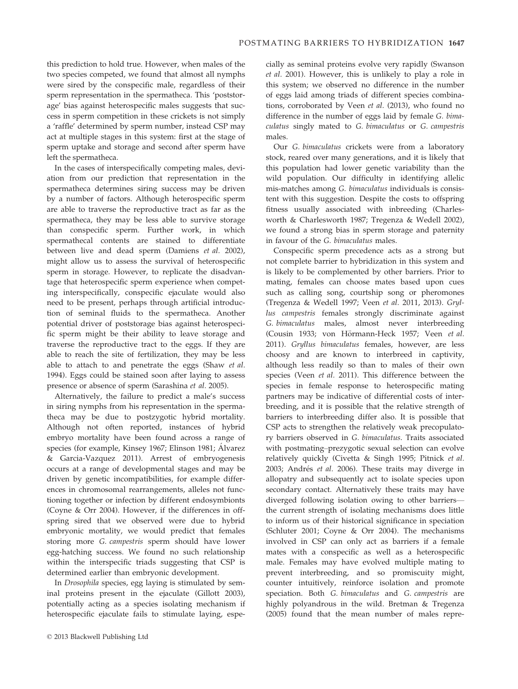this prediction to hold true. However, when males of the two species competed, we found that almost all nymphs were sired by the conspecific male, regardless of their sperm representation in the spermatheca. This 'poststorage' bias against heterospecific males suggests that success in sperm competition in these crickets is not simply a 'raffle' determined by sperm number, instead CSP may act at multiple stages in this system: first at the stage of sperm uptake and storage and second after sperm have left the spermatheca.

In the cases of interspecifically competing males, deviation from our prediction that representation in the spermatheca determines siring success may be driven by a number of factors. Although heterospecific sperm are able to traverse the reproductive tract as far as the spermatheca, they may be less able to survive storage than conspecific sperm. Further work, in which spermathecal contents are stained to differentiate between live and dead sperm (Damiens et al. 2002), might allow us to assess the survival of heterospecific sperm in storage. However, to replicate the disadvantage that heterospecific sperm experience when competing interspecifically, conspecific ejaculate would also need to be present, perhaps through artificial introduction of seminal fluids to the spermatheca. Another potential driver of poststorage bias against heterospecific sperm might be their ability to leave storage and traverse the reproductive tract to the eggs. If they are able to reach the site of fertilization, they may be less able to attach to and penetrate the eggs (Shaw et al. 1994). Eggs could be stained soon after laying to assess presence or absence of sperm (Sarashina et al. 2005).

Alternatively, the failure to predict a male's success in siring nymphs from his representation in the spermatheca may be due to postzygotic hybrid mortality. Although not often reported, instances of hybrid embryo mortality have been found across a range of species (for example, Kinsey 1967; Elinson 1981; Alvarez & Garcia-Vazquez 2011). Arrest of embryogenesis occurs at a range of developmental stages and may be driven by genetic incompatibilities, for example differences in chromosomal rearrangements, alleles not functioning together or infection by different endosymbionts (Coyne & Orr 2004). However, if the differences in offspring sired that we observed were due to hybrid embryonic mortality, we would predict that females storing more G. campestris sperm should have lower egg-hatching success. We found no such relationship within the interspecific triads suggesting that CSP is determined earlier than embryonic development.

In Drosophila species, egg laying is stimulated by seminal proteins present in the ejaculate (Gillott 2003), potentially acting as a species isolating mechanism if heterospecific ejaculate fails to stimulate laying, especially as seminal proteins evolve very rapidly (Swanson et al. 2001). However, this is unlikely to play a role in this system; we observed no difference in the number of eggs laid among triads of different species combinations, corroborated by Veen et al. (2013), who found no difference in the number of eggs laid by female G. bimaculatus singly mated to G. bimaculatus or G. campestris males.

Our G. bimaculatus crickets were from a laboratory stock, reared over many generations, and it is likely that this population had lower genetic variability than the wild population. Our difficulty in identifying allelic mis-matches among G. bimaculatus individuals is consistent with this suggestion. Despite the costs to offspring fitness usually associated with inbreeding (Charlesworth & Charlesworth 1987; Tregenza & Wedell 2002), we found a strong bias in sperm storage and paternity in favour of the G. bimaculatus males.

Conspecific sperm precedence acts as a strong but not complete barrier to hybridization in this system and is likely to be complemented by other barriers. Prior to mating, females can choose mates based upon cues such as calling song, courtship song or pheromones (Tregenza & Wedell 1997; Veen et al. 2011, 2013). Gryllus campestris females strongly discriminate against G. bimaculatus males, almost never interbreeding (Cousin 1933; von Hörmann-Heck 1957; Veen et al. 2011). Gryllus bimaculatus females, however, are less choosy and are known to interbreed in captivity, although less readily so than to males of their own species (Veen et al. 2011). This difference between the species in female response to heterospecific mating partners may be indicative of differential costs of interbreeding, and it is possible that the relative strength of barriers to interbreeding differ also. It is possible that CSP acts to strengthen the relatively weak precopulatory barriers observed in G. bimaculatus. Traits associated with postmating–prezygotic sexual selection can evolve relatively quickly (Civetta & Singh 1995; Pitnick et al. 2003; Andrés et al. 2006). These traits may diverge in allopatry and subsequently act to isolate species upon secondary contact. Alternatively these traits may have diverged following isolation owing to other barriers the current strength of isolating mechanisms does little to inform us of their historical significance in speciation (Schluter 2001; Coyne & Orr 2004). The mechanisms involved in CSP can only act as barriers if a female mates with a conspecific as well as a heterospecific male. Females may have evolved multiple mating to prevent interbreeding, and so promiscuity might, counter intuitively, reinforce isolation and promote speciation. Both G. bimaculatus and G. campestris are highly polyandrous in the wild. Bretman & Tregenza (2005) found that the mean number of males repre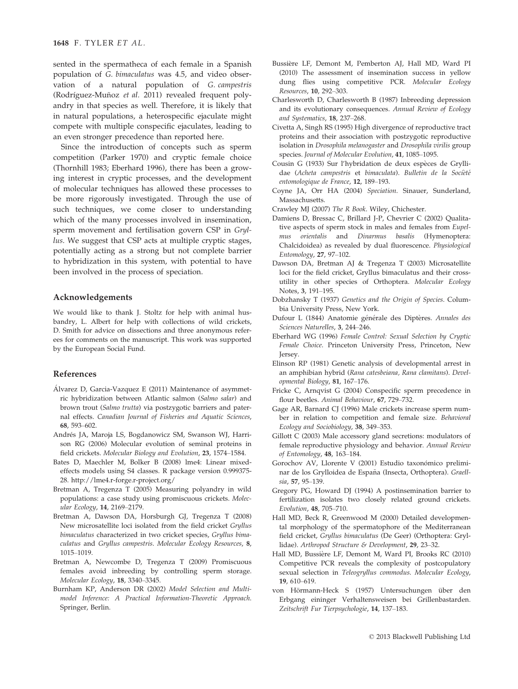sented in the spermatheca of each female in a Spanish population of G. bimaculatus was 4.5, and video observation of a natural population of G. campestris (Rodríguez-Muñoz et al. 2011) revealed frequent polyandry in that species as well. Therefore, it is likely that in natural populations, a heterospecific ejaculate might compete with multiple conspecific ejaculates, leading to an even stronger precedence than reported here.

Since the introduction of concepts such as sperm competition (Parker 1970) and cryptic female choice (Thornhill 1983; Eberhard 1996), there has been a growing interest in cryptic processes, and the development of molecular techniques has allowed these processes to be more rigorously investigated. Through the use of such techniques, we come closer to understanding which of the many processes involved in insemination, sperm movement and fertilisation govern CSP in Gryllus. We suggest that CSP acts at multiple cryptic stages, potentially acting as a strong but not complete barrier to hybridization in this system, with potential to have been involved in the process of speciation.

# Acknowledgements

We would like to thank J. Stoltz for help with animal husbandry, L. Albert for help with collections of wild crickets, D. Smith for advice on dissections and three anonymous referees for comments on the manuscript. This work was supported by the European Social Fund.

#### References

- Alvarez D, Garcia-Vazquez E (2011) Maintenance of asymmet ric hybridization between Atlantic salmon (Salmo salar) and brown trout (Salmo trutta) via postzygotic barriers and paternal effects. Canadian Journal of Fisheries and Aquatic Sciences, 68, 593–602.
- Andrés JA, Maroja LS, Bogdanowicz SM, Swanson WJ, Harrison RG (2006) Molecular evolution of seminal proteins in field crickets. Molecular Biology and Evolution, 23, 1574–1584.
- Bates D, Maechler M, Bolker B (2008) lme4: Linear mixedeffects models using S4 classes. R package version 0.999375- 28. http://lme4.r-forge.r-project.org/
- Bretman A, Tregenza T (2005) Measuring polyandry in wild populations: a case study using promiscuous crickets. Molecular Ecology, 14, 2169–2179.
- Bretman A, Dawson DA, Horsburgh GJ, Tregenza T (2008) New microsatellite loci isolated from the field cricket Gryllus bimaculatus characterized in two cricket species, Gryllus bimaculatus and Gryllus campestris. Molecular Ecology Resources, 8, 1015–1019.
- Bretman A, Newcombe D, Tregenza T (2009) Promiscuous females avoid inbreeding by controlling sperm storage. Molecular Ecology, 18, 3340–3345.
- Burnham KP, Anderson DR (2002) Model Selection and Multimodel Inference: A Practical Information-Theoretic Approach. Springer, Berlin.
- Bussiere LF, Demont M, Pemberton AJ, Hall MD, Ward PI (2010) The assessment of insemination success in yellow dung flies using competitive PCR. Molecular Ecology Resources, 10, 292–303.
- Charlesworth D, Charlesworth B (1987) Inbreeding depression and its evolutionary consequences. Annual Review of Ecology and Systematics, 18, 237–268.
- Civetta A, Singh RS (1995) High divergence of reproductive tract proteins and their association with postzygotic reproductive isolation in Drosophila melanogaster and Drosophila virilis group species. Journal of Molecular Evolution, 41, 1085–1095.
- Cousin G (1933) Sur l'hybridation de deux espèces de Gryllidae (Acheta campestris et bimaculata). Bulletin de la Socièté entomologique de France, 12, 189–193.
- Coyne JA, Orr HA (2004) Speciation. Sinauer, Sunderland, Massachusetts.
- Crawley MJ (2007) The R Book. Wiley, Chichester.
- Damiens D, Bressac C, Brillard J-P, Chevrier C (2002) Qualitative aspects of sperm stock in males and females from Eupelmus orientalis and Dinarmus basalis (Hymenoptera: Chalcidoidea) as revealed by dual fluorescence. Physiological Entomology, 27, 97–102.
- Dawson DA, Bretman AJ & Tregenza T (2003) Microsatellite loci for the field cricket, Gryllus bimaculatus and their crossutility in other species of Orthoptera. Molecular Ecology Notes, 3, 191–195.
- Dobzhansky T (1937) Genetics and the Origin of Species. Columbia University Press, New York.
- Dufour L (1844) Anatomie générale des Diptères. Annales des Sciences Naturelles, 3, 244–246.
- Eberhard WG (1996) Female Control: Sexual Selection by Cryptic Female Choice. Princeton University Press, Princeton, New Jersey.
- Elinson RP (1981) Genetic analysis of developmental arrest in an amphibian hybrid (Rana catesbeiana, Rana clamitans). Developmental Biology, 81, 167–176.
- Fricke C, Arnqvist G (2004) Conspecific sperm precedence in flour beetles. Animal Behaviour, 67, 729–732.
- Gage AR, Barnard CJ (1996) Male crickets increase sperm number in relation to competition and female size. Behavioral Ecology and Sociobiology, 38, 349–353.
- Gillott C (2003) Male accessory gland secretions: modulators of female reproductive physiology and behavior. Annual Review of Entomology, 48, 163–184.
- Gorochov AV, Llorente V (2001) Estudio taxonómico preliminar de los Grylloidea de España (Insecta, Orthoptera). Graellsia, 57, 95–139.
- Gregory PG, Howard DJ (1994) A postinsemination barrier to fertilization isolates two closely related ground crickets. Evolution, 48, 705–710.
- Hall MD, Beck R, Greenwood M (2000) Detailed developmental morphology of the spermatophore of the Mediterranean field cricket, Gryllus bimaculatus (De Geer) (Orthoptera: Gryllidae). Arthropod Structure & Development, 29, 23–32.
- Hall MD, Bussiere LF, Demont M, Ward PI, Brooks RC (2010) Competitive PCR reveals the complexity of postcopulatory sexual selection in Teleogryllus commodus. Molecular Ecology, 19, 610–619.
- von Hörmann-Heck S (1957) Untersuchungen über den Erbgang eininger Verhaltensweisen bei Grillenbastarden. Zeitschrift Fur Tierpsychologie, 14, 137–183.